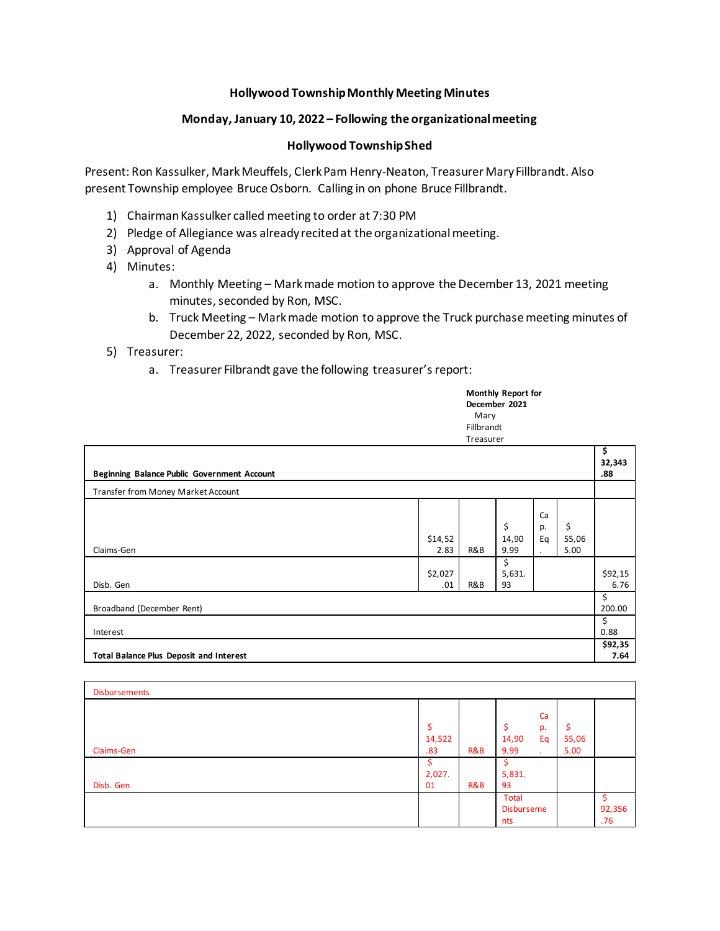## **Hollywood Township Monthly Meeting Minutes**

## **Monday, January 10, 2022 – Following the organizational meeting**

## **Hollywood Township Shed**

Present: Ron Kassulker, Mark Meuffels, Clerk Pam Henry-Neaton, Treasurer Mary Fillbrandt. Also present Township employee Bruce Osborn. Calling in on phone Bruce Fillbrandt.

- 1) Chairman Kassulker called meeting to order at 7:30 PM
- 2) Pledge of Allegiance was already recited at the organizational meeting.
- 3) Approval of Agenda
- 4) Minutes:
	- a. Monthly Meeting Markmade motion to approve the December 13, 2021 meeting minutes, seconded by Ron, MSC.
	- b. Truck Meeting Mark made motion to approve the Truck purchase meeting minutes of December 22, 2022, seconded by Ron, MSC.
- 5) Treasurer:
	- a. Treasurer Filbrandt gave the following treasurer's report:

**Monthly Report for December 2021** Mary Fillbrandt Treasurer

| Beginning Balance Public Government Account    |                 |     |                     |                                        | \$<br>32,343<br>.88 |                 |
|------------------------------------------------|-----------------|-----|---------------------|----------------------------------------|---------------------|-----------------|
| Transfer from Money Market Account             |                 |     |                     |                                        |                     |                 |
| Claims-Gen                                     | \$14,52<br>2.83 | R&B | \$<br>14,90<br>9.99 | Ca<br>p.<br>Eq<br>$\ddot{\phantom{0}}$ | \$<br>55,06<br>5.00 |                 |
| Disb. Gen                                      | \$2,027<br>.01  | R&B | \$<br>5,631.<br>93  |                                        |                     | \$92,15<br>6.76 |
| Broadband (December Rent)                      |                 |     |                     |                                        | \$<br>200.00        |                 |
| Interest                                       |                 |     |                     | \$<br>0.88                             |                     |                 |
| <b>Total Balance Plus Deposit and Interest</b> |                 |     |                     |                                        |                     | \$92,35<br>7.64 |

| <b>Disbursements</b> |               |     |                                 |               |               |
|----------------------|---------------|-----|---------------------------------|---------------|---------------|
| Claims-Gen           | 14,522<br>.83 | R&B | Ca<br>p.<br>14,90<br>Eq<br>9.99 | 55,06<br>5.00 |               |
| Disb. Gen            | 2,027.<br>01  | R&B | 5,831.<br>93                    |               |               |
|                      |               |     | Total<br>Disburseme<br>nts      |               | 92,356<br>.76 |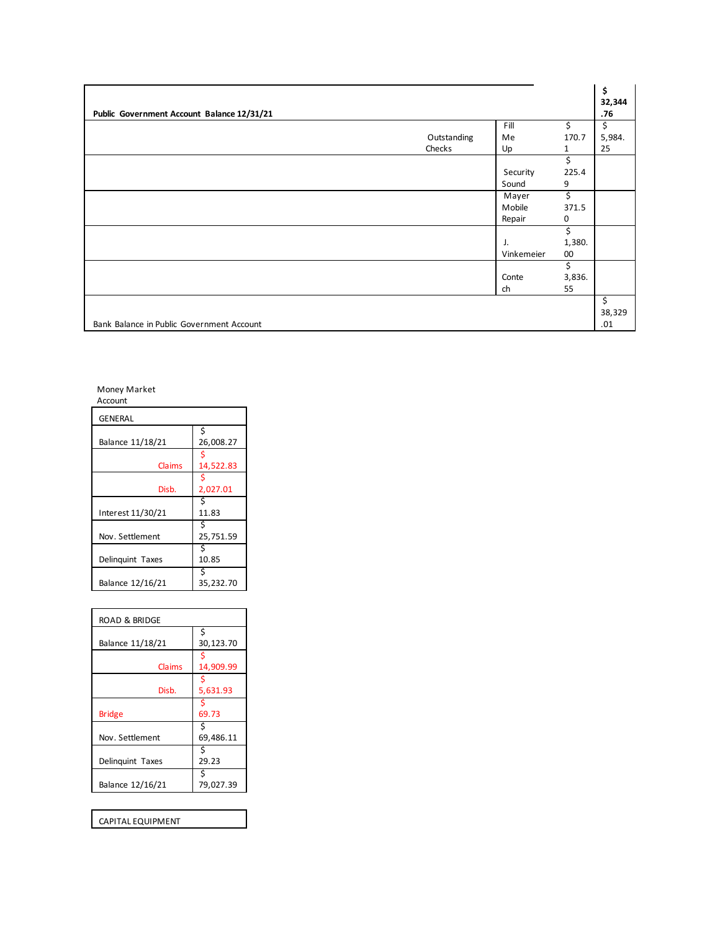| Public Government Account Balance 12/31/21 |             |            |        | \$<br>32,344<br>.76 |
|--------------------------------------------|-------------|------------|--------|---------------------|
|                                            |             | Fill       | \$.    | \$                  |
|                                            | Outstanding | Me         | 170.7  | 5,984.              |
|                                            | Checks      | Up         | 1      | 25                  |
|                                            |             |            | \$     |                     |
|                                            |             | Security   | 225.4  |                     |
|                                            |             | Sound      | 9      |                     |
|                                            |             | Mayer      | \$     |                     |
|                                            |             | Mobile     | 371.5  |                     |
|                                            |             | Repair     | 0      |                     |
|                                            |             |            | \$     |                     |
|                                            |             | J.         | 1,380. |                     |
|                                            |             | Vinkemeier | 00     |                     |
|                                            |             |            | \$     |                     |
|                                            |             | Conte      | 3,836. |                     |
|                                            |             | ch         | 55     |                     |
|                                            |             |            |        | \$                  |
|                                            |             |            |        | 38,329              |
| Bank Balance in Public Government Account  |             |            |        | .01                 |

Money Market

| Account           |                 |
|-------------------|-----------------|
| <b>GENERAL</b>    |                 |
| Balance 11/18/21  | \$<br>26,008.27 |
| Claims            | 14,522.83       |
| Disb.             | 2,027.01        |
| Interest 11/30/21 | Ś<br>11.83      |
| Nov. Settlement   | 25,751.59       |
| Delinguint Taxes  | 10.85           |
| Balance 12/16/21  | 35,232.70       |

| <b>ROAD &amp; BRIDGE</b> |                |  |  |  |
|--------------------------|----------------|--|--|--|
| Balance 11/18/21         | Ś<br>30,123.70 |  |  |  |
| Claims                   | 14,909.99      |  |  |  |
| Disb.                    | 5,631.93       |  |  |  |
| Bridge                   | 69.73          |  |  |  |
| Nov. Settlement          | 69,486.11      |  |  |  |
| Delinguint Taxes         | 29.23          |  |  |  |
| Balance 12/16/21         | 79,027.39      |  |  |  |

CAPITAL EQUIPMENT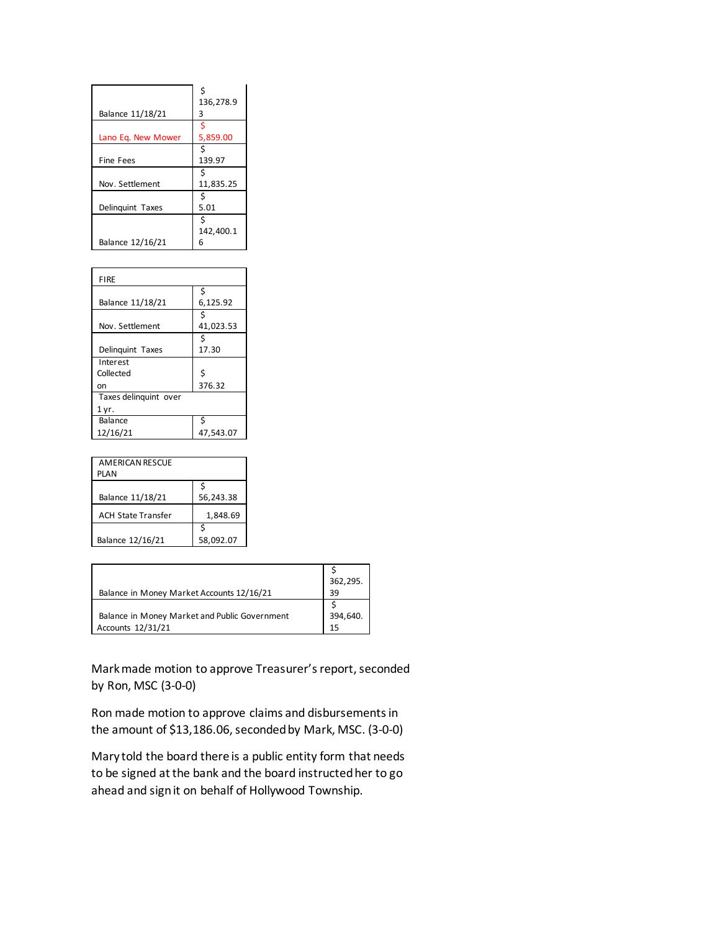| Balance 11/18/21   | 136,278.9<br>3 |
|--------------------|----------------|
| Lano Eq. New Mower | 5,859.00       |
| <b>Fine Fees</b>   | 139.97         |
| Nov. Settlement    | 11,835.25      |
| Delinguint Taxes   | 5.01           |
| Balance 12/16/21   | 142,400.1<br>6 |

| <b>FIRE</b>           |           |
|-----------------------|-----------|
|                       | Ś         |
| Balance 11/18/21      | 6,125.92  |
|                       | Ś         |
| Nov. Settlement       | 41,023.53 |
|                       | Ś         |
| Delinguint Taxes      | 17.30     |
| Interest              |           |
| Collected             | Ś         |
| on                    | 376.32    |
| Taxes delinquint over |           |
| 1 yr.                 |           |
| Balance               | Ś         |
| 12/16/21              | 47,543.07 |

| <b>AMERICAN RESCUE</b><br>PLAN |           |
|--------------------------------|-----------|
| Balance 11/18/21               | 56,243.38 |
| <b>ACH State Transfer</b>      | 1,848.69  |
| Balance 12/16/21               | 58,092.07 |

| Balance in Money Market Accounts 12/16/21                          | 362,295.<br>39 |
|--------------------------------------------------------------------|----------------|
| Balance in Money Market and Public Government<br>Accounts 12/31/21 | 394,640.       |

Mark made motion to approve Treasurer's report, seconded by Ron, MSC (3-0-0)

Ron made motion to approve claims and disbursements in the amount of \$13,186.06, seconded by Mark, MSC. (3-0-0)

Mary told the board there is a public entity form that needs to be signed at the bank and the board instructed her to go ahead and sign it on behalf of Hollywood Township.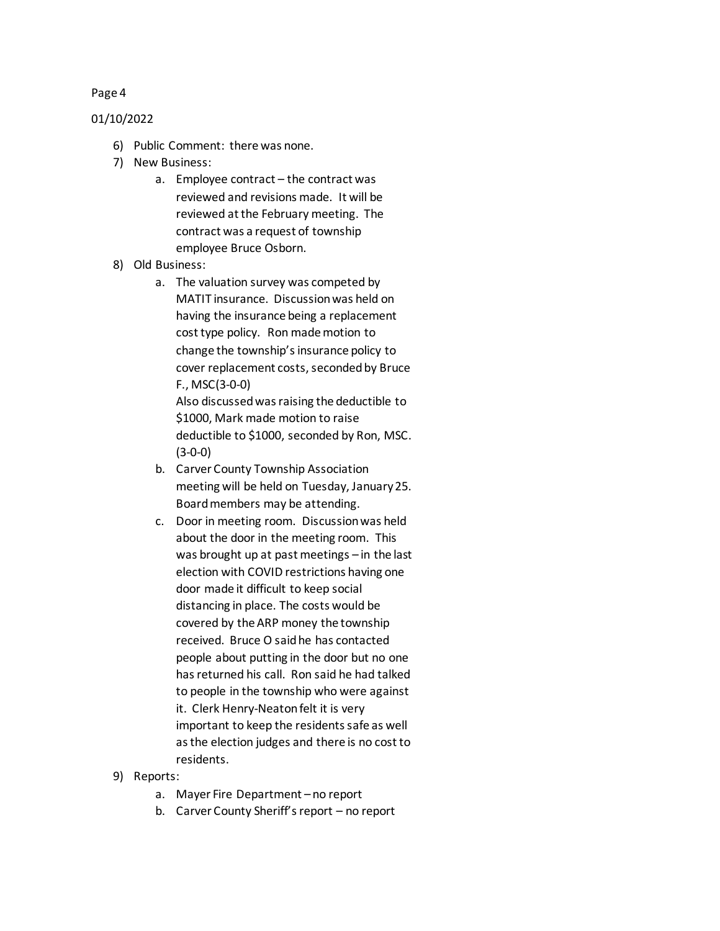## 01/10/2022

- 6) Public Comment: there was none.
- 7) New Business:
	- a. Employee contract the contract was reviewed and revisions made. It will be reviewed at the February meeting. The contract was a request of township employee Bruce Osborn.
- 8) Old Business:
	- a. The valuation survey was competed by MATIT insurance. Discussion was held on having the insurance being a replacement cost type policy. Ron made motion to change the township's insurance policy to cover replacement costs, seconded by Bruce F., MSC(3-0-0) Also discussed was raising the deductible to

\$1000, Mark made motion to raise deductible to \$1000, seconded by Ron, MSC. (3-0-0)

- b. Carver County Township Association meeting will be held on Tuesday, January 25. Board members may be attending.
- c. Door in meeting room. Discussion was held about the door in the meeting room. This was brought up at past meetings – in the last election with COVID restrictions having one door made it difficult to keep social distancing in place. The costs would be covered by the ARP money the township received. Bruce O said he has contacted people about putting in the door but no one has returned his call. Ron said he had talked to people in the township who were against it. Clerk Henry-Neaton felt it is very important to keep the residents safe as well as the election judges and there is no cost to residents.
- 9) Reports:
	- a. Mayer Fire Department no report
	- b. Carver County Sheriff's report no report

#### Page 4